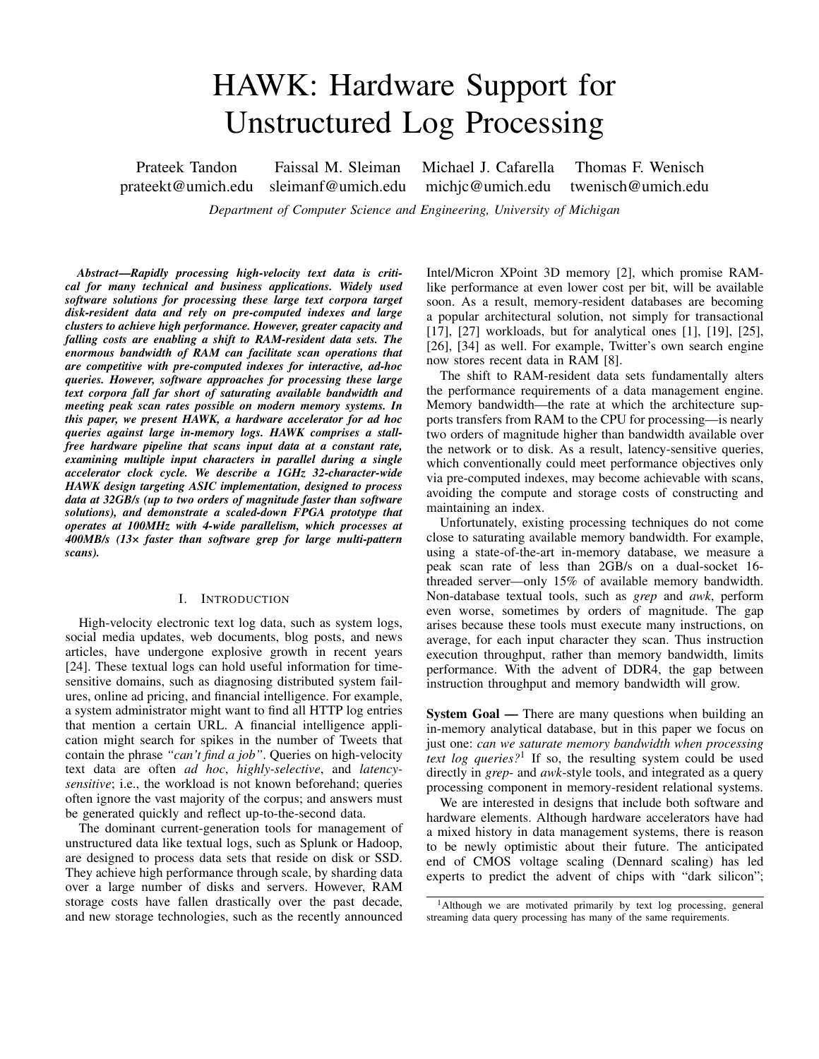# HAWK: Hardware Support for Unstructured Log Processing

Prateek Tandon Faissal M. Sleiman Michael J. Cafarella Thomas F. Wenisch prateekt@umich.edu sleimanf@umich.edu michjc@umich.edu twenisch@umich.edu

*Department of Computer Science and Engineering, University of Michigan*

*Abstract*—*Rapidly processing high-velocity text data is critical for many technical and business applications. Widely used software solutions for processing these large text corpora target disk-resident data and rely on pre-computed indexes and large clusters to achieve high performance. However, greater capacity and falling costs are enabling a shift to RAM-resident data sets. The enormous bandwidth of RAM can facilitate scan operations that are competitive with pre-computed indexes for interactive, ad-hoc queries. However, software approaches for processing these large text corpora fall far short of saturating available bandwidth and meeting peak scan rates possible on modern memory systems. In this paper, we present HAWK, a hardware accelerator for ad hoc queries against large in-memory logs. HAWK comprises a stallfree hardware pipeline that scans input data at a constant rate, examining multiple input characters in parallel during a single accelerator clock cycle. We describe a 1GHz 32-character-wide HAWK design targeting ASIC implementation, designed to process data at 32GB/s (up to two orders of magnitude faster than software solutions), and demonstrate a scaled-down FPGA prototype that operates at 100MHz with 4-wide parallelism, which processes at 400MB/s (13× faster than software grep for large multi-pattern scans).*

# I. INTRODUCTION

High-velocity electronic text log data, such as system logs, social media updates, web documents, blog posts, and news articles, have undergone explosive growth in recent years [24]. These textual logs can hold useful information for timesensitive domains, such as diagnosing distributed system failures, online ad pricing, and financial intelligence. For example, a system administrator might want to find all HTTP log entries that mention a certain URL. A financial intelligence application might search for spikes in the number of Tweets that contain the phrase *"can't find a job"*. Queries on high-velocity text data are often *ad hoc*, *highly-selective*, and *latencysensitive*; i.e., the workload is not known beforehand; queries often ignore the vast majority of the corpus; and answers must be generated quickly and reflect up-to-the-second data.

The dominant current-generation tools for management of unstructured data like textual logs, such as Splunk or Hadoop, are designed to process data sets that reside on disk or SSD. They achieve high performance through scale, by sharding data over a large number of disks and servers. However, RAM storage costs have fallen drastically over the past decade, and new storage technologies, such as the recently announced Intel/Micron XPoint 3D memory [2], which promise RAMlike performance at even lower cost per bit, will be available soon. As a result, memory-resident databases are becoming a popular architectural solution, not simply for transactional [17], [27] workloads, but for analytical ones [1], [19], [25], [26], [34] as well. For example, Twitter's own search engine now stores recent data in RAM [8].

The shift to RAM-resident data sets fundamentally alters the performance requirements of a data management engine. Memory bandwidth—the rate at which the architecture supports transfers from RAM to the CPU for processing—is nearly two orders of magnitude higher than bandwidth available over the network or to disk. As a result, latency-sensitive queries, which conventionally could meet performance objectives only via pre-computed indexes, may become achievable with scans, avoiding the compute and storage costs of constructing and maintaining an index.

Unfortunately, existing processing techniques do not come close to saturating available memory bandwidth. For example, using a state-of-the-art in-memory database, we measure a peak scan rate of less than 2GB/s on a dual-socket 16 threaded server—only 15% of available memory bandwidth. Non-database textual tools, such as *grep* and *awk*, perform even worse, sometimes by orders of magnitude. The gap arises because these tools must execute many instructions, on average, for each input character they scan. Thus instruction execution throughput, rather than memory bandwidth, limits performance. With the advent of DDR4, the gap between instruction throughput and memory bandwidth will grow.

System Goal — There are many questions when building an in-memory analytical database, but in this paper we focus on just one: *can we saturate memory bandwidth when processing text log queries?*<sup>1</sup> If so, the resulting system could be used directly in *grep*- and *awk*-style tools, and integrated as a query processing component in memory-resident relational systems.

We are interested in designs that include both software and hardware elements. Although hardware accelerators have had a mixed history in data management systems, there is reason to be newly optimistic about their future. The anticipated end of CMOS voltage scaling (Dennard scaling) has led experts to predict the advent of chips with "dark silicon";

<sup>&</sup>lt;sup>1</sup>Although we are motivated primarily by text log processing, general streaming data query processing has many of the same requirements.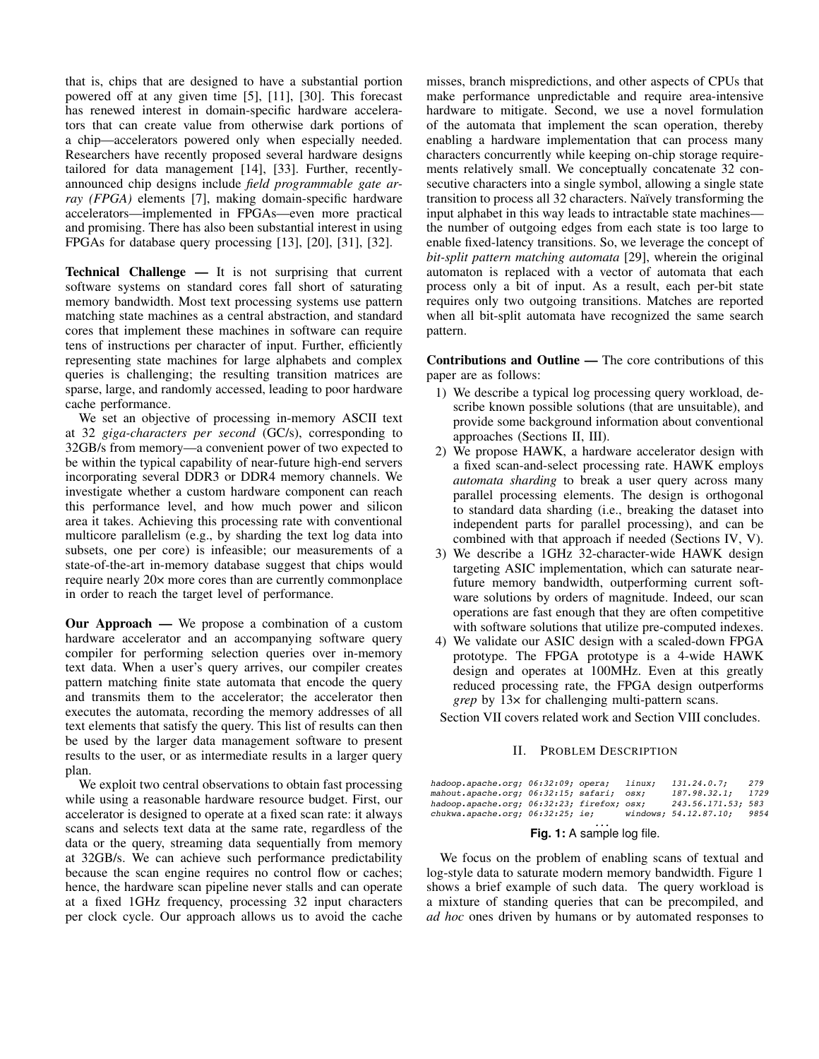that is, chips that are designed to have a substantial portion powered off at any given time [5], [11], [30]. This forecast has renewed interest in domain-specific hardware accelerators that can create value from otherwise dark portions of a chip—accelerators powered only when especially needed. Researchers have recently proposed several hardware designs tailored for data management [14], [33]. Further, recentlyannounced chip designs include *field programmable gate array (FPGA)* elements [7], making domain-specific hardware accelerators—implemented in FPGAs—even more practical and promising. There has also been substantial interest in using FPGAs for database query processing [13], [20], [31], [32].

Technical Challenge — It is not surprising that current software systems on standard cores fall short of saturating memory bandwidth. Most text processing systems use pattern matching state machines as a central abstraction, and standard cores that implement these machines in software can require tens of instructions per character of input. Further, efficiently representing state machines for large alphabets and complex queries is challenging; the resulting transition matrices are sparse, large, and randomly accessed, leading to poor hardware cache performance.

We set an objective of processing in-memory ASCII text at 32 *giga-characters per second* (GC/s), corresponding to 32GB/s from memory—a convenient power of two expected to be within the typical capability of near-future high-end servers incorporating several DDR3 or DDR4 memory channels. We investigate whether a custom hardware component can reach this performance level, and how much power and silicon area it takes. Achieving this processing rate with conventional multicore parallelism (e.g., by sharding the text log data into subsets, one per core) is infeasible; our measurements of a state-of-the-art in-memory database suggest that chips would require nearly 20× more cores than are currently commonplace in order to reach the target level of performance.

Our Approach — We propose a combination of a custom hardware accelerator and an accompanying software query compiler for performing selection queries over in-memory text data. When a user's query arrives, our compiler creates pattern matching finite state automata that encode the query and transmits them to the accelerator; the accelerator then executes the automata, recording the memory addresses of all text elements that satisfy the query. This list of results can then be used by the larger data management software to present results to the user, or as intermediate results in a larger query plan.

We exploit two central observations to obtain fast processing while using a reasonable hardware resource budget. First, our accelerator is designed to operate at a fixed scan rate: it always scans and selects text data at the same rate, regardless of the data or the query, streaming data sequentially from memory at 32GB/s. We can achieve such performance predictability because the scan engine requires no control flow or caches; hence, the hardware scan pipeline never stalls and can operate at a fixed 1GHz frequency, processing 32 input characters per clock cycle. Our approach allows us to avoid the cache misses, branch mispredictions, and other aspects of CPUs that make performance unpredictable and require area-intensive hardware to mitigate. Second, we use a novel formulation of the automata that implement the scan operation, thereby enabling a hardware implementation that can process many characters concurrently while keeping on-chip storage requirements relatively small. We conceptually concatenate 32 consecutive characters into a single symbol, allowing a single state transition to process all 32 characters. Naïvely transforming the input alphabet in this way leads to intractable state machines the number of outgoing edges from each state is too large to enable fixed-latency transitions. So, we leverage the concept of *bit-split pattern matching automata* [29], wherein the original automaton is replaced with a vector of automata that each process only a bit of input. As a result, each per-bit state requires only two outgoing transitions. Matches are reported when all bit-split automata have recognized the same search pattern.

Contributions and Outline — The core contributions of this paper are as follows:

- 1) We describe a typical log processing query workload, describe known possible solutions (that are unsuitable), and provide some background information about conventional approaches (Sections II, III).
- 2) We propose HAWK, a hardware accelerator design with a fixed scan-and-select processing rate. HAWK employs *automata sharding* to break a user query across many parallel processing elements. The design is orthogonal to standard data sharding (i.e., breaking the dataset into independent parts for parallel processing), and can be combined with that approach if needed (Sections IV, V).
- 3) We describe a 1GHz 32-character-wide HAWK design targeting ASIC implementation, which can saturate nearfuture memory bandwidth, outperforming current software solutions by orders of magnitude. Indeed, our scan operations are fast enough that they are often competitive with software solutions that utilize pre-computed indexes.
- 4) We validate our ASIC design with a scaled-down FPGA prototype. The FPGA prototype is a 4-wide HAWK design and operates at 100MHz. Even at this greatly reduced processing rate, the FPGA design outperforms *grep* by 13× for challenging multi-pattern scans.

Section VII covers related work and Section VIII concludes.

# II. PROBLEM DESCRIPTION

| hadoop.apache.org; 06:32:09; opera;<br>mahout.apache.org; 06:32:15; safari; osx; |  | linux: | 131.24.0.7:<br>187.98.32.1:                 | 279<br>1729 |
|----------------------------------------------------------------------------------|--|--------|---------------------------------------------|-------------|
| hadoop.apache.org; 06:32:23; firefox; osx;<br>chukwa.appendne.org; 06:32:25; ie; |  |        | 243.56.171.53; 583<br>windows; 54.12.87.10; | 9854        |

# *...* **Fig. 1:** A sample log file.

We focus on the problem of enabling scans of textual and log-style data to saturate modern memory bandwidth. Figure 1 shows a brief example of such data. The query workload is a mixture of standing queries that can be precompiled, and *ad hoc* ones driven by humans or by automated responses to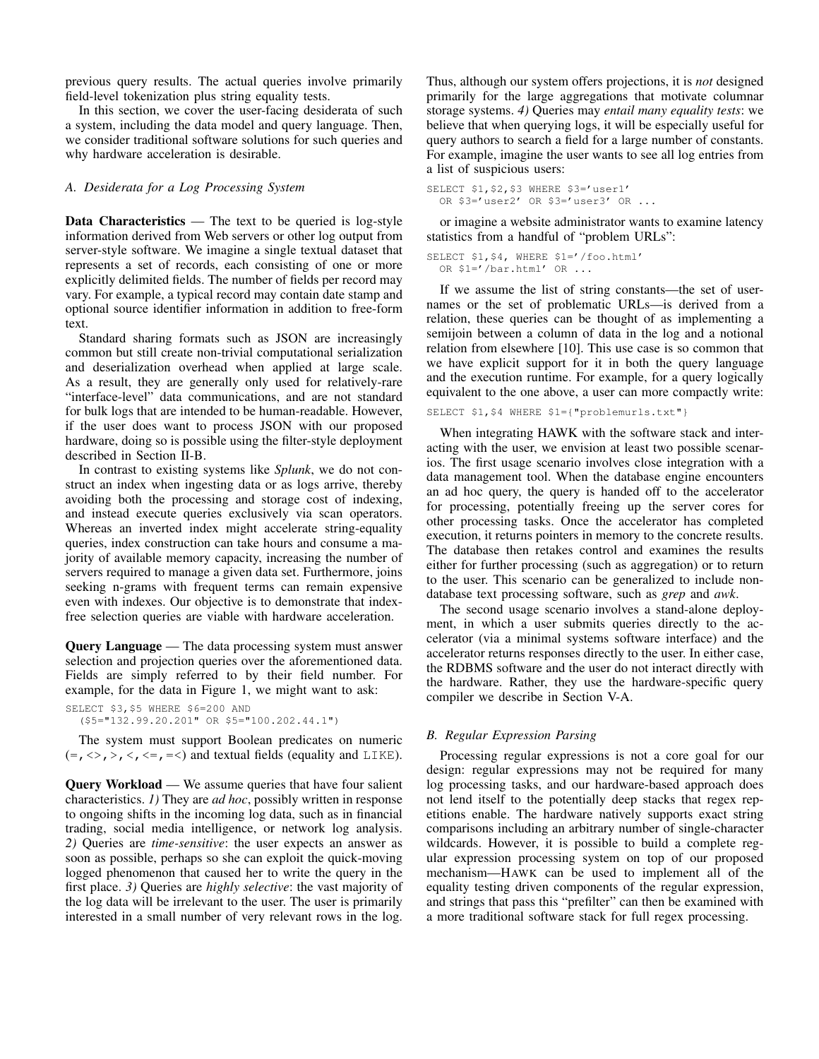previous query results. The actual queries involve primarily field-level tokenization plus string equality tests.

In this section, we cover the user-facing desiderata of such a system, including the data model and query language. Then, we consider traditional software solutions for such queries and why hardware acceleration is desirable.

# *A. Desiderata for a Log Processing System*

**Data Characteristics** — The text to be queried is  $log$ -style information derived from Web servers or other log output from server-style software. We imagine a single textual dataset that represents a set of records, each consisting of one or more explicitly delimited fields. The number of fields per record may vary. For example, a typical record may contain date stamp and optional source identifier information in addition to free-form text.

Standard sharing formats such as JSON are increasingly common but still create non-trivial computational serialization and deserialization overhead when applied at large scale. As a result, they are generally only used for relatively-rare "interface-level" data communications, and are not standard for bulk logs that are intended to be human-readable. However, if the user does want to process JSON with our proposed hardware, doing so is possible using the filter-style deployment described in Section II-B.

In contrast to existing systems like *Splunk*, we do not construct an index when ingesting data or as logs arrive, thereby avoiding both the processing and storage cost of indexing, and instead execute queries exclusively via scan operators. Whereas an inverted index might accelerate string-equality queries, index construction can take hours and consume a majority of available memory capacity, increasing the number of servers required to manage a given data set. Furthermore, joins seeking n-grams with frequent terms can remain expensive even with indexes. Our objective is to demonstrate that indexfree selection queries are viable with hardware acceleration.

Query Language — The data processing system must answer selection and projection queries over the aforementioned data. Fields are simply referred to by their field number. For example, for the data in Figure 1, we might want to ask:

```
SELECT $3,$5 WHERE $6=200 AND
  ($5="132.99.20.201" OR $5="100.202.44.1")
```
The system must support Boolean predicates on numeric  $(=, \langle \rangle, \rangle, \langle \langle \rangle, \langle =, = \langle \rangle)$  and textual fields (equality and LIKE).

Query Workload — We assume queries that have four salient characteristics. *1)* They are *ad hoc*, possibly written in response to ongoing shifts in the incoming log data, such as in financial trading, social media intelligence, or network log analysis. *2)* Queries are *time-sensitive*: the user expects an answer as soon as possible, perhaps so she can exploit the quick-moving logged phenomenon that caused her to write the query in the first place. *3)* Queries are *highly selective*: the vast majority of the log data will be irrelevant to the user. The user is primarily interested in a small number of very relevant rows in the log.

Thus, although our system offers projections, it is *not* designed primarily for the large aggregations that motivate columnar storage systems. *4)* Queries may *entail many equality tests*: we believe that when querying logs, it will be especially useful for query authors to search a field for a large number of constants. For example, imagine the user wants to see all log entries from a list of suspicious users:

SELECT \$1,\$2,\$3 WHERE \$3='user1' OR \$3='user2' OR \$3='user3' OR ...

or imagine a website administrator wants to examine latency statistics from a handful of "problem URLs":

```
SELECT $1,$4, WHERE $1='/foo.html'
  OR $1='/bar.html' OR ...
```
If we assume the list of string constants—the set of usernames or the set of problematic URLs—is derived from a relation, these queries can be thought of as implementing a semijoin between a column of data in the log and a notional relation from elsewhere [10]. This use case is so common that we have explicit support for it in both the query language and the execution runtime. For example, for a query logically equivalent to the one above, a user can more compactly write:

SELECT \$1,\$4 WHERE \$1={"problemurls.txt"}

When integrating HAWK with the software stack and interacting with the user, we envision at least two possible scenarios. The first usage scenario involves close integration with a data management tool. When the database engine encounters an ad hoc query, the query is handed off to the accelerator for processing, potentially freeing up the server cores for other processing tasks. Once the accelerator has completed execution, it returns pointers in memory to the concrete results. The database then retakes control and examines the results either for further processing (such as aggregation) or to return to the user. This scenario can be generalized to include nondatabase text processing software, such as *grep* and *awk*.

The second usage scenario involves a stand-alone deployment, in which a user submits queries directly to the accelerator (via a minimal systems software interface) and the accelerator returns responses directly to the user. In either case, the RDBMS software and the user do not interact directly with the hardware. Rather, they use the hardware-specific query compiler we describe in Section V-A.

# *B. Regular Expression Parsing*

Processing regular expressions is not a core goal for our design: regular expressions may not be required for many log processing tasks, and our hardware-based approach does not lend itself to the potentially deep stacks that regex repetitions enable. The hardware natively supports exact string comparisons including an arbitrary number of single-character wildcards. However, it is possible to build a complete regular expression processing system on top of our proposed mechanism—HAWK can be used to implement all of the equality testing driven components of the regular expression, and strings that pass this "prefilter" can then be examined with a more traditional software stack for full regex processing.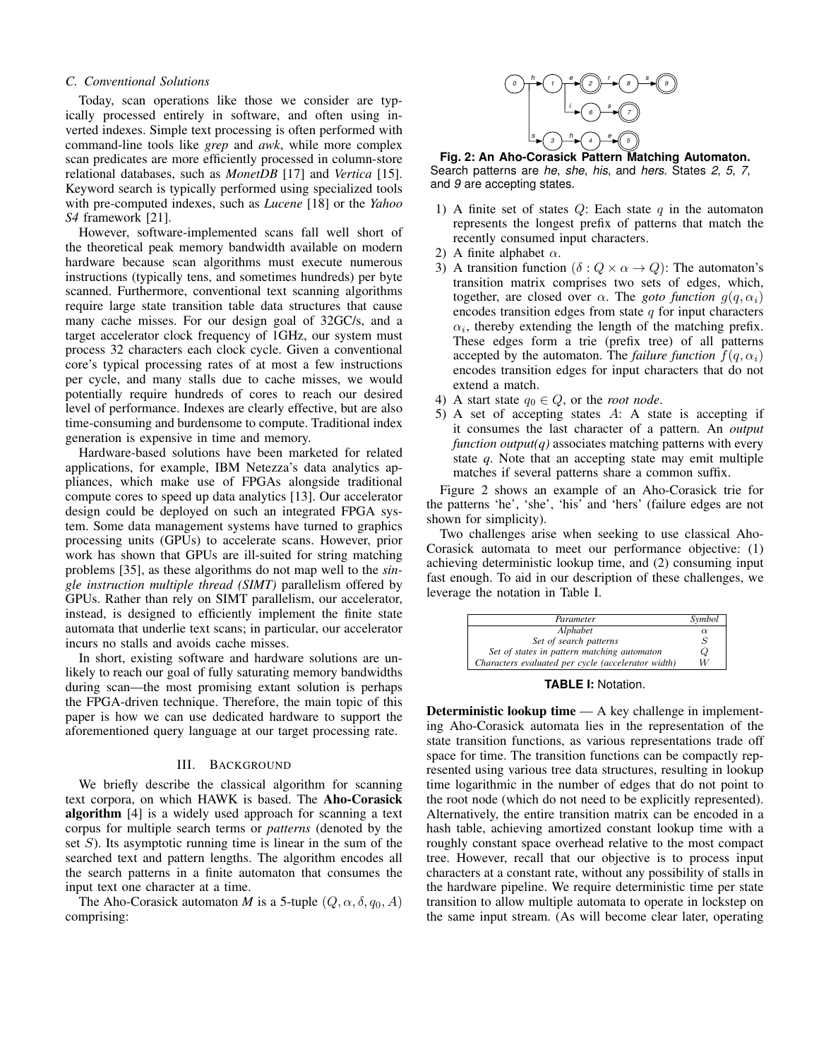# *C. Conventional Solutions*

Today, scan operations like those we consider are typically processed entirely in software, and often using inverted indexes. Simple text processing is often performed with command-line tools like *grep* and *awk*, while more complex scan predicates are more efficiently processed in column-store relational databases, such as *MonetDB* [17] and *Vertica* [15]. Keyword search is typically performed using specialized tools with pre-computed indexes, such as *Lucene* [18] or the *Yahoo S4* framework [21].

However, software-implemented scans fall well short of the theoretical peak memory bandwidth available on modern hardware because scan algorithms must execute numerous instructions (typically tens, and sometimes hundreds) per byte scanned. Furthermore, conventional text scanning algorithms require large state transition table data structures that cause many cache misses. For our design goal of 32GC/s, and a target accelerator clock frequency of 1GHz, our system must process 32 characters each clock cycle. Given a conventional core's typical processing rates of at most a few instructions per cycle, and many stalls due to cache misses, we would potentially require hundreds of cores to reach our desired level of performance. Indexes are clearly effective, but are also time-consuming and burdensome to compute. Traditional index generation is expensive in time and memory. C. Conventions when the three we consider are type<br>
That was operations like these we consider are type<br>
communal fine costs integrand only and column is the second in the second integrand only in consider the second inte

Hardware-based solutions have been marketed for related applications, for example, IBM Netezza's data analytics appliances, which make use of FPGAs alongside traditional compute cores to speed up data analytics [13]. Our accelerator design could be deployed on such an integrated FPGA system. Some data management systems have turned to graphics processing units (GPUs) to accelerate scans. However, prior work has shown that GPUs are ill-suited for string matching problems [35], as these algorithms do not map well to the *single instruction multiple thread (SIMT)* parallelism offered by GPUs. Rather than rely on SIMT parallelism, our accelerator, instead, is designed to efficiently implement the finite state automata that underlie text scans; in particular, our accelerator incurs no stalls and avoids cache misses.

In short, existing software and hardware solutions are unlikely to reach our goal of fully saturating memory bandwidths during scan—the most promising extant solution is perhaps the FPGA-driven technique. Therefore, the main topic of this paper is how we can use dedicated hardware to support the aforementioned query language at our target processing rate.

# III. BACKGROUND

We briefly describe the classical algorithm for scanning text corpora, on which HAWK is based. The Aho-Corasick algorithm [4] is a widely used approach for scanning a text corpus for multiple search terms or *patterns* (denoted by the set  $S$ ). Its asymptotic running time is linear in the sum of the searched text and pattern lengths. The algorithm encodes all the search patterns in a finite automaton that consumes the input text one character at a time.

The Aho-Corasick automaton *M* is a 5-tuple  $(Q, \alpha, \delta, q_0, A)$ 



**Fig. 2: An Aho-Corasick Pattern Matching Automaton.** Search patterns are *he*, *she*, *his*, and *hers*. States *2*, *5*, *7*, and *9* are accepting states.

- 1) A finite set of states  $Q$ : Each state  $q$  in the automaton represents the longest prefix of patterns that match the recently consumed input characters.
- 2) A finite alphabet  $\alpha$ .
- 3) A transition function  $(\delta: Q \times \alpha \rightarrow Q)$ : The automaton's transition matrix comprises two sets of edges, which, together, are closed over  $\alpha$ . The *goto function*  $g(q, \alpha_i)$ encodes transition edges from state  $q$  for input characters  $\alpha_i$ , thereby extending the length of the matching prefix. These edges form a trie (prefix tree) of all patterns accepted by the automaton. The *failure function*  $f(q, \alpha_i)$ encodes transition edges for input characters that do not extend a match.
- 4) A start state  $q_0 \in Q$ , or the *root node*.
- 5) A set of accepting states A: A state is accepting if it consumes the last character of a pattern. An *output function output(q)* associates matching patterns with every state *q*. Note that an accepting state may emit multiple matches if several patterns share a common suffix.

Figure 2 shows an example of an Aho-Corasick trie for the patterns 'he', 'she', 'his' and 'hers' (failure edges are not shown for simplicity).

Two challenges arise when seeking to use classical Aho-Corasick automata to meet our performance objective: (1) achieving deterministic lookup time, and (2) consuming input fast enough. To aid in our description of these challenges, we leverage the notation in Table I.

| Parameter                                          | Symbol   |
|----------------------------------------------------|----------|
| Alphabet                                           | $\alpha$ |
| Set of search patterns                             | S        |
| Set of states in pattern matching automaton        | Q        |
| Characters evaluated per cycle (accelerator width) | W        |

**TABLE I:** Notation.

Deterministic lookup time — A key challenge in implementing Aho-Corasick automata lies in the representation of the state transition functions, as various representations trade off space for time. The transition functions can be compactly represented using various tree data structures, resulting in lookup time logarithmic in the number of edges that do not point to the root node (which do not need to be explicitly represented). Alternatively, the entire transition matrix can be encoded in a hash table, achieving amortized constant lookup time with a roughly constant space overhead relative to the most compact tree. However, recall that our objective is to process input characters at a constant rate, without any possibility of stalls in the hardware pipeline. We require deterministic time per state transition to allow multiple automata to operate in lockstep on the same input stream. (As will become clear later, operating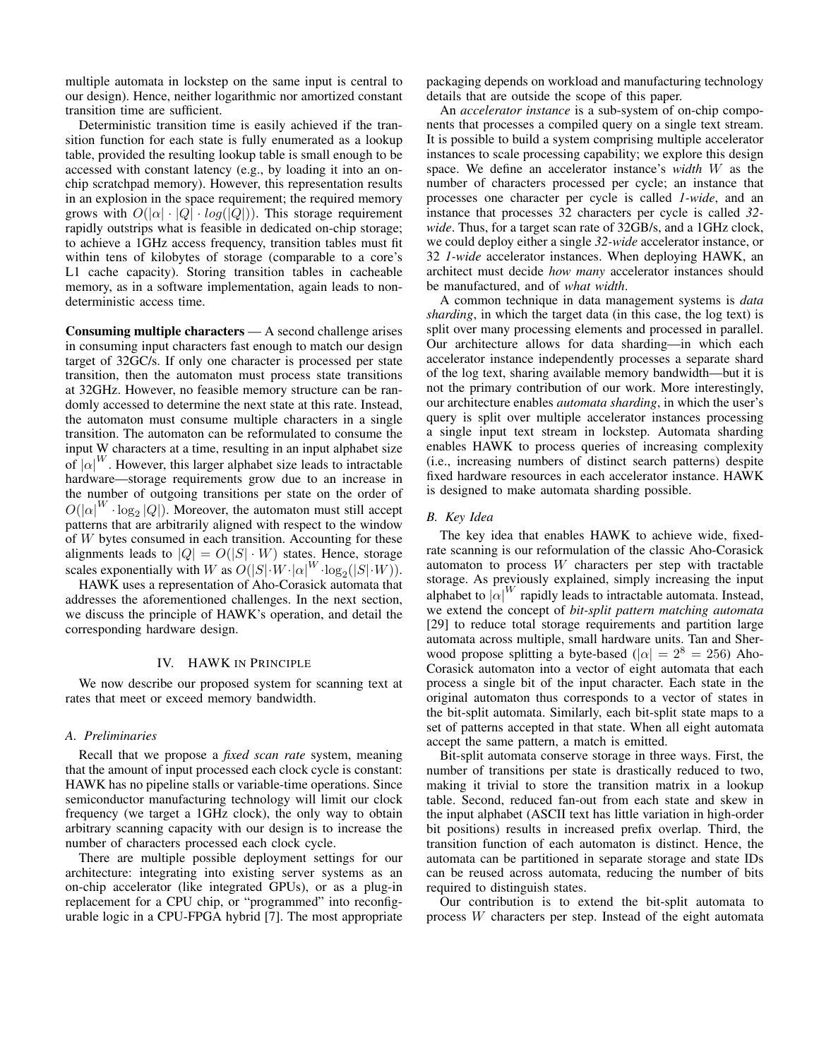multiple automata in lockstep on the same input is central to our design). Hence, neither logarithmic nor amortized constant transition time are sufficient.

Deterministic transition time is easily achieved if the transition function for each state is fully enumerated as a lookup table, provided the resulting lookup table is small enough to be accessed with constant latency (e.g., by loading it into an onchip scratchpad memory). However, this representation results in an explosion in the space requirement; the required memory grows with  $O(|\alpha| \cdot |Q| \cdot log(|Q|))$ . This storage requirement rapidly outstrips what is feasible in dedicated on-chip storage; to achieve a 1GHz access frequency, transition tables must fit within tens of kilobytes of storage (comparable to a core's L1 cache capacity). Storing transition tables in cacheable memory, as in a software implementation, again leads to nondeterministic access time.

Consuming multiple characters — A second challenge arises in consuming input characters fast enough to match our design target of 32GC/s. If only one character is processed per state transition, then the automaton must process state transitions at 32GHz. However, no feasible memory structure can be randomly accessed to determine the next state at this rate. Instead, the automaton must consume multiple characters in a single transition. The automaton can be reformulated to consume the input W characters at a time, resulting in an input alphabet size of  $|\alpha|^W$ . However, this larger alphabet size leads to intractable hardware—storage requirements grow due to an increase in the number of outgoing transitions per state on the order of  $O(|\alpha|^W \cdot \log_2 |Q|)$ . Moreover, the automaton must still accept patterns that are arbitrarily aligned with respect to the window of W bytes consumed in each transition. Accounting for these alignments leads to  $|Q| = O(|S| \cdot W)$  states. Hence, storage scales exponentially with W as  $O(|S| \cdot W \cdot |\alpha|^W \cdot \log_2(|S| \cdot W))$ .

HAWK uses a representation of Aho-Corasick automata that addresses the aforementioned challenges. In the next section, we discuss the principle of HAWK's operation, and detail the corresponding hardware design.

#### IV. HAWK IN PRINCIPLE

We now describe our proposed system for scanning text at rates that meet or exceed memory bandwidth.

#### *A. Preliminaries*

Recall that we propose a *fixed scan rate* system, meaning that the amount of input processed each clock cycle is constant: HAWK has no pipeline stalls or variable-time operations. Since semiconductor manufacturing technology will limit our clock frequency (we target a 1GHz clock), the only way to obtain arbitrary scanning capacity with our design is to increase the number of characters processed each clock cycle.

There are multiple possible deployment settings for our architecture: integrating into existing server systems as an on-chip accelerator (like integrated GPUs), or as a plug-in replacement for a CPU chip, or "programmed" into reconfigurable logic in a CPU-FPGA hybrid [7]. The most appropriate packaging depends on workload and manufacturing technology details that are outside the scope of this paper.

An *accelerator instance* is a sub-system of on-chip components that processes a compiled query on a single text stream. It is possible to build a system comprising multiple accelerator instances to scale processing capability; we explore this design space. We define an accelerator instance's *width* W as the number of characters processed per cycle; an instance that processes one character per cycle is called *1-wide*, and an instance that processes 32 characters per cycle is called *32 wide*. Thus, for a target scan rate of 32GB/s, and a 1GHz clock, we could deploy either a single *32-wide* accelerator instance, or 32 *1-wide* accelerator instances. When deploying HAWK, an architect must decide *how many* accelerator instances should be manufactured, and of *what width*.

A common technique in data management systems is *data sharding*, in which the target data (in this case, the log text) is split over many processing elements and processed in parallel. Our architecture allows for data sharding—in which each accelerator instance independently processes a separate shard of the log text, sharing available memory bandwidth—but it is not the primary contribution of our work. More interestingly, our architecture enables *automata sharding*, in which the user's query is split over multiple accelerator instances processing a single input text stream in lockstep. Automata sharding enables HAWK to process queries of increasing complexity (i.e., increasing numbers of distinct search patterns) despite fixed hardware resources in each accelerator instance. HAWK is designed to make automata sharding possible.

#### *B. Key Idea*

The key idea that enables HAWK to achieve wide, fixedrate scanning is our reformulation of the classic Aho-Corasick automaton to process  $W$  characters per step with tractable storage. As previously explained, simply increasing the input alphabet to  $|\alpha|^W$  rapidly leads to intractable automata. Instead, we extend the concept of *bit-split pattern matching automata* [29] to reduce total storage requirements and partition large automata across multiple, small hardware units. Tan and Sherwood propose splitting a byte-based ( $|\alpha| = 2^8 = 256$ ) Aho-Corasick automaton into a vector of eight automata that each process a single bit of the input character. Each state in the original automaton thus corresponds to a vector of states in the bit-split automata. Similarly, each bit-split state maps to a set of patterns accepted in that state. When all eight automata accept the same pattern, a match is emitted.

Bit-split automata conserve storage in three ways. First, the number of transitions per state is drastically reduced to two, making it trivial to store the transition matrix in a lookup table. Second, reduced fan-out from each state and skew in the input alphabet (ASCII text has little variation in high-order bit positions) results in increased prefix overlap. Third, the transition function of each automaton is distinct. Hence, the automata can be partitioned in separate storage and state IDs can be reused across automata, reducing the number of bits required to distinguish states.

Our contribution is to extend the bit-split automata to process W characters per step. Instead of the eight automata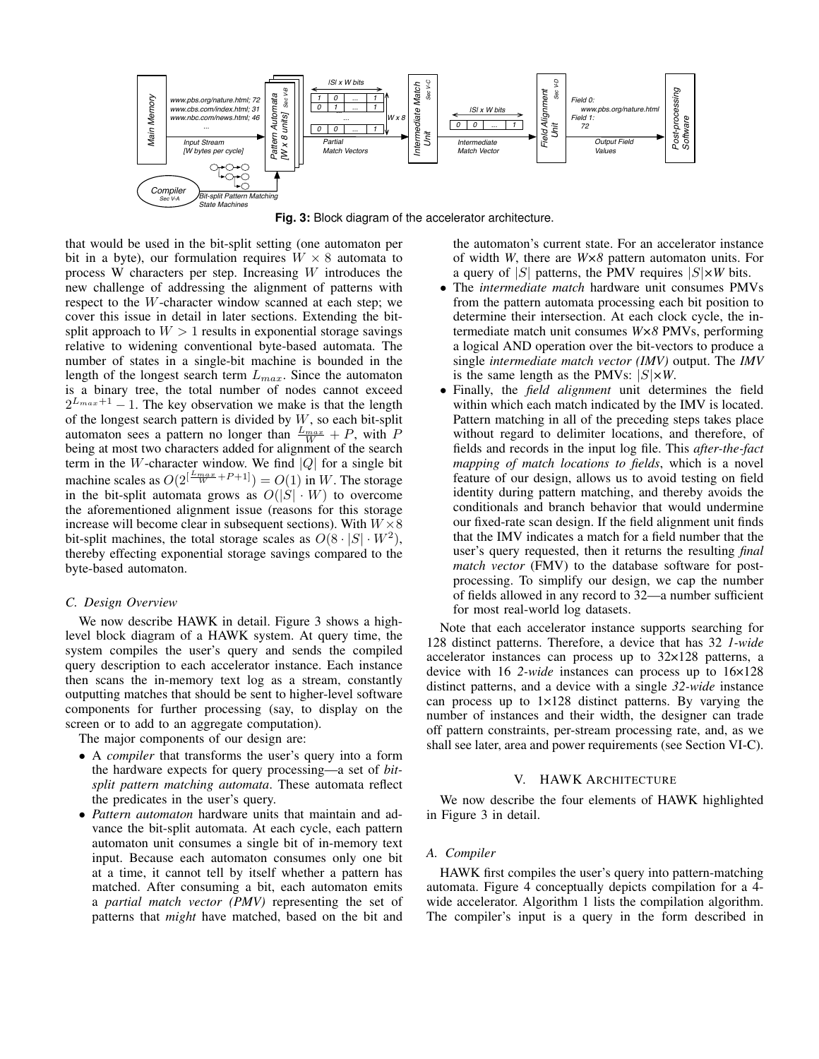

**Fig. 3:** Block diagram of the accelerator architecture.

that would be used in the bit-split setting (one automaton per bit in a byte), our formulation requires  $W \times 8$  automata to process W characters per step. Increasing W introduces the new challenge of addressing the alignment of patterns with respect to the W-character window scanned at each step; we cover this issue in detail in later sections. Extending the bitsplit approach to  $W > 1$  results in exponential storage savings relative to widening conventional byte-based automata. The number of states in a single-bit machine is bounded in the length of the longest search term  $L_{max}$ . Since the automaton is a binary tree, the total number of nodes cannot exceed  $2^{L_{max}+1} - 1$ . The key observation we make is that the length of the longest search pattern is divided by  $W$ , so each bit-split automaton sees a pattern no longer than  $\frac{L_{max}}{W} + P$ , with P being at most two characters added for alignment of the search term in the W-character window. We find  $|Q|$  for a single bit machine scales as  $O(2^{\left[\frac{L_{max}}{W} + P + 1\right]}) = O(1)$  in W. The storage in the bit-split automata grows as  $O(|S| \cdot W)$  to overcome the aforementioned alignment issue (reasons for this storage increase will become clear in subsequent sections). With  $W \times 8$ bit-split machines, the total storage scales as  $O(8 \cdot |S| \cdot W^2)$ , thereby effecting exponential storage savings compared to the byte-based automaton.

#### *C. Design Overview*

We now describe HAWK in detail. Figure 3 shows a highlevel block diagram of a HAWK system. At query time, the system compiles the user's query and sends the compiled query description to each accelerator instance. Each instance then scans the in-memory text log as a stream, constantly outputting matches that should be sent to higher-level software components for further processing (say, to display on the screen or to add to an aggregate computation).

The major components of our design are:

- A *compiler* that transforms the user's query into a form the hardware expects for query processing—a set of *bitsplit pattern matching automata*. These automata reflect the predicates in the user's query.
- *Pattern automaton* hardware units that maintain and advance the bit-split automata. At each cycle, each pattern automaton unit consumes a single bit of in-memory text input. Because each automaton consumes only one bit at a time, it cannot tell by itself whether a pattern has matched. After consuming a bit, each automaton emits a *partial match vector (PMV)* representing the set of patterns that *might* have matched, based on the bit and

the automaton's current state. For an accelerator instance of width *W*, there are *W×8* pattern automaton units. For a query of  $|S|$  patterns, the PMV requires  $|S| \times W$  bits.

- The *intermediate match* hardware unit consumes PMVs from the pattern automata processing each bit position to determine their intersection. At each clock cycle, the intermediate match unit consumes *W×8* PMVs, performing a logical AND operation over the bit-vectors to produce a single *intermediate match vector (IMV)* output. The *IMV* is the same length as the PMVs:  $|S| \times W$ .
- Finally, the *field alignment* unit determines the field within which each match indicated by the IMV is located. Pattern matching in all of the preceding steps takes place without regard to delimiter locations, and therefore, of fields and records in the input log file. This *after-the-fact mapping of match locations to fields*, which is a novel feature of our design, allows us to avoid testing on field identity during pattern matching, and thereby avoids the conditionals and branch behavior that would undermine our fixed-rate scan design. If the field alignment unit finds that the IMV indicates a match for a field number that the user's query requested, then it returns the resulting *final match vector* (FMV) to the database software for postprocessing. To simplify our design, we cap the number of fields allowed in any record to 32—a number sufficient for most real-world log datasets.

Note that each accelerator instance supports searching for 128 distinct patterns. Therefore, a device that has 32 *1-wide* accelerator instances can process up to 32×128 patterns, a device with 16 *2-wide* instances can process up to 16×128 distinct patterns, and a device with a single *32-wide* instance can process up to 1×128 distinct patterns. By varying the number of instances and their width, the designer can trade off pattern constraints, per-stream processing rate, and, as we shall see later, area and power requirements (see Section VI-C).

#### V. HAWK ARCHITECTURE

We now describe the four elements of HAWK highlighted in Figure 3 in detail.

#### *A. Compiler*

HAWK first compiles the user's query into pattern-matching automata. Figure 4 conceptually depicts compilation for a 4 wide accelerator. Algorithm 1 lists the compilation algorithm. The compiler's input is a query in the form described in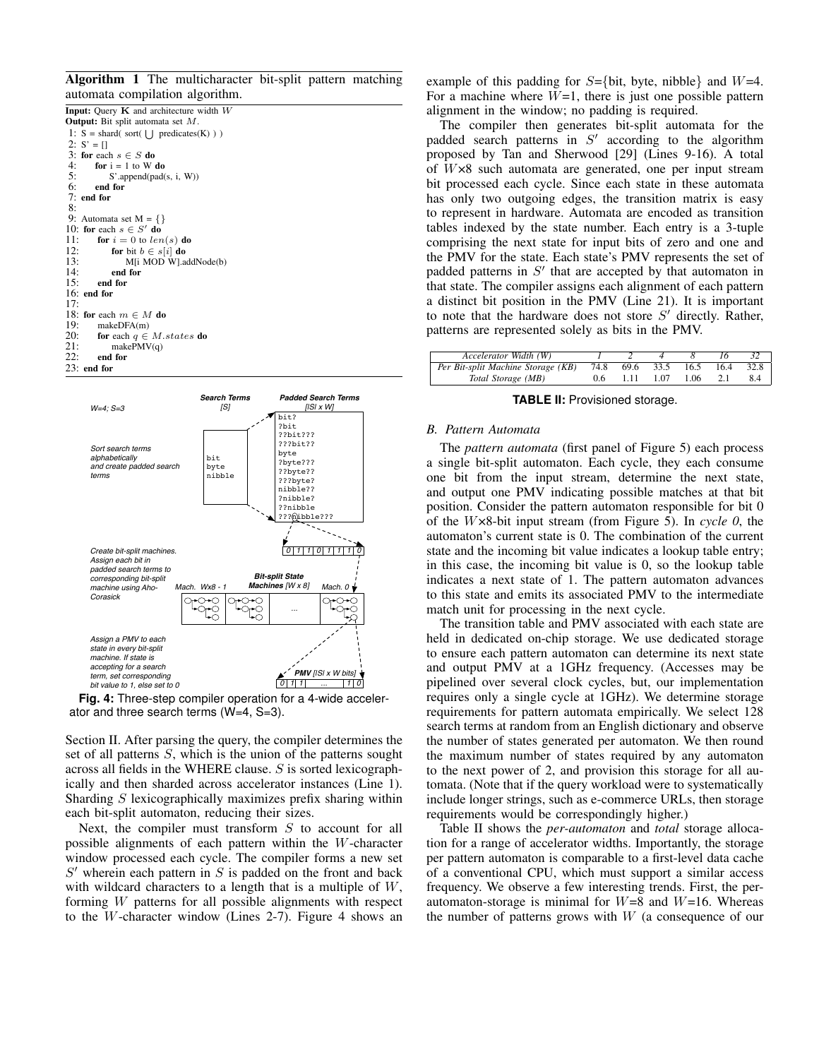Algorithm 1 The multicharacter bit-split pattern matching automata compilation algorithm.





**Fig. 4:** Three-step compiler operation for a 4-wide accelerator and three search terms (W=4, S=3).

Section II. After parsing the query, the compiler determines the set of all patterns S, which is the union of the patterns sought across all fields in the WHERE clause. S is sorted lexicographically and then sharded across accelerator instances (Line 1). Sharding  $S$  lexicographically maximizes prefix sharing within each bit-split automaton, reducing their sizes.

Next, the compiler must transform  $S$  to account for all possible alignments of each pattern within the W-character window processed each cycle. The compiler forms a new set  $S'$  wherein each pattern in  $S$  is padded on the front and back with wildcard characters to a length that is a multiple of  $W$ , forming W patterns for all possible alignments with respect to the W-character window (Lines 2-7). Figure 4 shows an example of this padding for  $S=\{bit, byte, nibble\}$  and  $W=4$ . For a machine where  $W=1$ , there is just one possible pattern alignment in the window; no padding is required.

The compiler then generates bit-split automata for the padded search patterns in  $S'$  according to the algorithm proposed by Tan and Sherwood [29] (Lines 9-16). A total of W×8 such automata are generated, one per input stream bit processed each cycle. Since each state in these automata has only two outgoing edges, the transition matrix is easy to represent in hardware. Automata are encoded as transition tables indexed by the state number. Each entry is a 3-tuple comprising the next state for input bits of zero and one and the PMV for the state. Each state's PMV represents the set of padded patterns in  $S'$  that are accepted by that automaton in that state. The compiler assigns each alignment of each pattern a distinct bit position in the PMV (Line 21). It is important to note that the hardware does not store  $S'$  directly. Rather, patterns are represented solely as bits in the PMV.

| Accelerator Width (W)                   |     |      |                     |            |      |
|-----------------------------------------|-----|------|---------------------|------------|------|
| Per Bit-split Machine Storage (KB) 74.8 |     |      | 69.6 33.5 16.5 16.4 |            | 32.8 |
| Total Storage (MB)                      | 0.6 | 1.11 | 1.07                | $1.06$ 2.1 | 8.4  |

**TABLE II:** Provisioned storage.

#### *B. Pattern Automata*

The *pattern automata* (first panel of Figure 5) each process a single bit-split automaton. Each cycle, they each consume one bit from the input stream, determine the next state, and output one PMV indicating possible matches at that bit position. Consider the pattern automaton responsible for bit 0 of the W×8-bit input stream (from Figure 5). In *cycle 0*, the automaton's current state is 0. The combination of the current state and the incoming bit value indicates a lookup table entry; in this case, the incoming bit value is 0, so the lookup table indicates a next state of 1. The pattern automaton advances to this state and emits its associated PMV to the intermediate match unit for processing in the next cycle.

The transition table and PMV associated with each state are held in dedicated on-chip storage. We use dedicated storage to ensure each pattern automaton can determine its next state and output PMV at a 1GHz frequency. (Accesses may be pipelined over several clock cycles, but, our implementation requires only a single cycle at 1GHz). We determine storage requirements for pattern automata empirically. We select 128 search terms at random from an English dictionary and observe the number of states generated per automaton. We then round the maximum number of states required by any automaton to the next power of 2, and provision this storage for all automata. (Note that if the query workload were to systematically include longer strings, such as e-commerce URLs, then storage requirements would be correspondingly higher.)

Table II shows the *per-automaton* and *total* storage allocation for a range of accelerator widths. Importantly, the storage per pattern automaton is comparable to a first-level data cache of a conventional CPU, which must support a similar access frequency. We observe a few interesting trends. First, the perautomaton-storage is minimal for  $W=8$  and  $W=16$ . Whereas the number of patterns grows with  $W$  (a consequence of our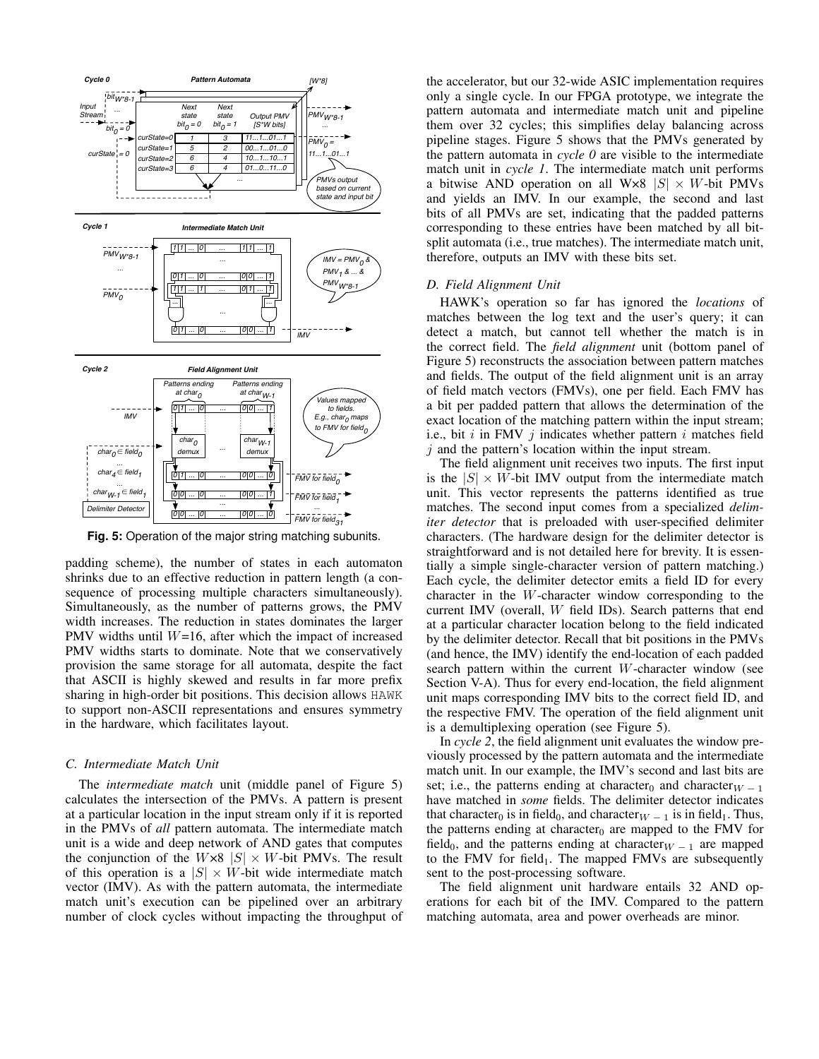

**Fig. 5:** Operation of the major string matching subunits.

padding scheme), the number of states in each automaton shrinks due to an effective reduction in pattern length (a consequence of processing multiple characters simultaneously). Simultaneously, as the number of patterns grows, the PMV width increases. The reduction in states dominates the larger PMV widths until  $W=16$ , after which the impact of increased PMV widths starts to dominate. Note that we conservatively provision the same storage for all automata, despite the fact that ASCII is highly skewed and results in far more prefix sharing in high-order bit positions. This decision allows HAWK to support non-ASCII representations and ensures symmetry in the hardware, which facilitates layout.

# *C. Intermediate Match Unit*

The *intermediate match* unit (middle panel of Figure 5) calculates the intersection of the PMVs. A pattern is present at a particular location in the input stream only if it is reported in the PMVs of *all* pattern automata. The intermediate match unit is a wide and deep network of AND gates that computes the conjunction of the  $W \times 8$  |S|  $\times$  W-bit PMVs. The result of this operation is a  $|S| \times W$ -bit wide intermediate match vector (IMV). As with the pattern automata, the intermediate match unit's execution can be pipelined over an arbitrary number of clock cycles without impacting the throughput of the accelerator, but our 32-wide ASIC implementation requires only a single cycle. In our FPGA prototype, we integrate the pattern automata and intermediate match unit and pipeline them over 32 cycles; this simplifies delay balancing across pipeline stages. Figure 5 shows that the PMVs generated by the pattern automata in *cycle 0* are visible to the intermediate match unit in *cycle 1*. The intermediate match unit performs a bitwise AND operation on all W×8  $|S| \times W$ -bit PMVs and yields an IMV. In our example, the second and last bits of all PMVs are set, indicating that the padded patterns corresponding to these entries have been matched by all bitsplit automata (i.e., true matches). The intermediate match unit, therefore, outputs an IMV with these bits set.

#### *D. Field Alignment Unit*

HAWK's operation so far has ignored the *locations* of matches between the log text and the user's query; it can detect a match, but cannot tell whether the match is in the correct field. The *field alignment* unit (bottom panel of Figure 5) reconstructs the association between pattern matches and fields. The output of the field alignment unit is an array of field match vectors (FMVs), one per field. Each FMV has a bit per padded pattern that allows the determination of the exact location of the matching pattern within the input stream; i.e., bit  $i$  in FMV  $j$  indicates whether pattern  $i$  matches field  $j$  and the pattern's location within the input stream.

The field alignment unit receives two inputs. The first input is the  $|S| \times W$ -bit IMV output from the intermediate match unit. This vector represents the patterns identified as true matches. The second input comes from a specialized *delimiter detector* that is preloaded with user-specified delimiter characters. (The hardware design for the delimiter detector is straightforward and is not detailed here for brevity. It is essentially a simple single-character version of pattern matching.) Each cycle, the delimiter detector emits a field ID for every character in the W-character window corresponding to the current IMV (overall, W field IDs). Search patterns that end at a particular character location belong to the field indicated by the delimiter detector. Recall that bit positions in the PMVs (and hence, the IMV) identify the end-location of each padded search pattern within the current W-character window (see Section V-A). Thus for every end-location, the field alignment unit maps corresponding IMV bits to the correct field ID, and the respective FMV. The operation of the field alignment unit is a demultiplexing operation (see Figure 5).

In *cycle 2*, the field alignment unit evaluates the window previously processed by the pattern automata and the intermediate match unit. In our example, the IMV's second and last bits are set; i.e., the patterns ending at character<sub>0</sub> and character<sub>W − 1</sub> have matched in *some* fields. The delimiter detector indicates that character<sub>0</sub> is in field<sub>0</sub>, and character<sub>W − 1</sub> is in field<sub>1</sub>. Thus, the patterns ending at character<sub>0</sub> are mapped to the FMV for field<sub>0</sub>, and the patterns ending at character<sub>W − 1</sub> are mapped to the FMV for field<sub>1</sub>. The mapped FMVs are subsequently sent to the post-processing software.

The field alignment unit hardware entails 32 AND operations for each bit of the IMV. Compared to the pattern matching automata, area and power overheads are minor.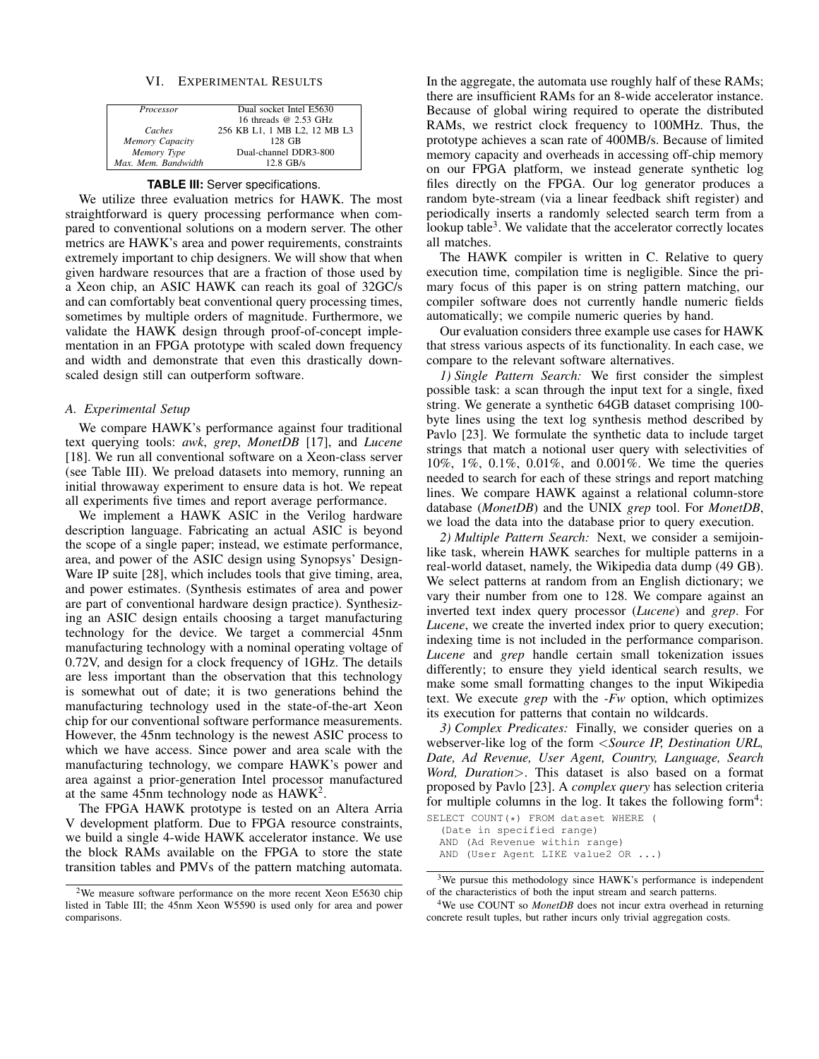# VI. EXPERIMENTAL RESULTS

| Processor           | Dual socket Intel E5630      |
|---------------------|------------------------------|
|                     | 16 threads @ 2.53 GHz        |
| Caches              | 256 KB L1, 1 MB L2, 12 MB L3 |
| Memory Capacity     | 128 GB                       |
| Memory Type         | Dual-channel DDR3-800        |
| Max. Mem. Bandwidth | $12.8$ GB/s                  |

#### **TABLE III:** Server specifications.

We utilize three evaluation metrics for HAWK. The most straightforward is query processing performance when compared to conventional solutions on a modern server. The other metrics are HAWK's area and power requirements, constraints extremely important to chip designers. We will show that when given hardware resources that are a fraction of those used by a Xeon chip, an ASIC HAWK can reach its goal of 32GC/s and can comfortably beat conventional query processing times, sometimes by multiple orders of magnitude. Furthermore, we validate the HAWK design through proof-of-concept implementation in an FPGA prototype with scaled down frequency and width and demonstrate that even this drastically downscaled design still can outperform software.

#### *A. Experimental Setup*

We compare HAWK's performance against four traditional text querying tools: *awk*, *grep*, *MonetDB* [17], and *Lucene* [18]. We run all conventional software on a Xeon-class server (see Table III). We preload datasets into memory, running an initial throwaway experiment to ensure data is hot. We repeat all experiments five times and report average performance.

We implement a HAWK ASIC in the Verilog hardware description language. Fabricating an actual ASIC is beyond the scope of a single paper; instead, we estimate performance, area, and power of the ASIC design using Synopsys' Design-Ware IP suite [28], which includes tools that give timing, area, and power estimates. (Synthesis estimates of area and power are part of conventional hardware design practice). Synthesizing an ASIC design entails choosing a target manufacturing technology for the device. We target a commercial 45nm manufacturing technology with a nominal operating voltage of 0.72V, and design for a clock frequency of 1GHz. The details are less important than the observation that this technology is somewhat out of date; it is two generations behind the manufacturing technology used in the state-of-the-art Xeon chip for our conventional software performance measurements. However, the 45nm technology is the newest ASIC process to which we have access. Since power and area scale with the manufacturing technology, we compare HAWK's power and area against a prior-generation Intel processor manufactured at the same  $45$ nm technology node as  $HAWK<sup>2</sup>$ .

The FPGA HAWK prototype is tested on an Altera Arria V development platform. Due to FPGA resource constraints, we build a single 4-wide HAWK accelerator instance. We use the block RAMs available on the FPGA to store the state transition tables and PMVs of the pattern matching automata.

In the aggregate, the automata use roughly half of these RAMs; there are insufficient RAMs for an 8-wide accelerator instance. Because of global wiring required to operate the distributed RAMs, we restrict clock frequency to 100MHz. Thus, the prototype achieves a scan rate of 400MB/s. Because of limited memory capacity and overheads in accessing off-chip memory on our FPGA platform, we instead generate synthetic log files directly on the FPGA. Our log generator produces a random byte-stream (via a linear feedback shift register) and periodically inserts a randomly selected search term from a lookup table<sup>3</sup>. We validate that the accelerator correctly locates all matches.

The HAWK compiler is written in C. Relative to query execution time, compilation time is negligible. Since the primary focus of this paper is on string pattern matching, our compiler software does not currently handle numeric fields automatically; we compile numeric queries by hand.

Our evaluation considers three example use cases for HAWK that stress various aspects of its functionality. In each case, we compare to the relevant software alternatives.

*1) Single Pattern Search:* We first consider the simplest possible task: a scan through the input text for a single, fixed string. We generate a synthetic 64GB dataset comprising 100 byte lines using the text log synthesis method described by Pavlo [23]. We formulate the synthetic data to include target strings that match a notional user query with selectivities of 10%, 1%, 0.1%, 0.01%, and 0.001%. We time the queries needed to search for each of these strings and report matching lines. We compare HAWK against a relational column-store database (*MonetDB*) and the UNIX *grep* tool. For *MonetDB*, we load the data into the database prior to query execution.

*2) Multiple Pattern Search:* Next, we consider a semijoinlike task, wherein HAWK searches for multiple patterns in a real-world dataset, namely, the Wikipedia data dump (49 GB). We select patterns at random from an English dictionary; we vary their number from one to 128. We compare against an inverted text index query processor (*Lucene*) and *grep*. For *Lucene*, we create the inverted index prior to query execution; indexing time is not included in the performance comparison. *Lucene* and *grep* handle certain small tokenization issues differently; to ensure they yield identical search results, we make some small formatting changes to the input Wikipedia text. We execute *grep* with the *-Fw* option, which optimizes its execution for patterns that contain no wildcards.

*3) Complex Predicates:* Finally, we consider queries on a webserver-like log of the form <*Source IP, Destination URL, Date, Ad Revenue, User Agent, Country, Language, Search Word, Duration*>. This dataset is also based on a format proposed by Pavlo [23]. A *complex query* has selection criteria for multiple columns in the log. It takes the following form<sup>4</sup>: SELECT COUNT(\*) FROM dataset WHERE (

(Date in specified range) AND (Ad Revenue within range)

AND (User Agent LIKE value2 OR ...)

<sup>2</sup>We measure software performance on the more recent Xeon E5630 chip listed in Table III; the 45nm Xeon W5590 is used only for area and power comparisons.

<sup>&</sup>lt;sup>3</sup>We pursue this methodology since HAWK's performance is independent of the characteristics of both the input stream and search patterns.

<sup>&</sup>lt;sup>4</sup>We use COUNT so *MonetDB* does not incur extra overhead in returning concrete result tuples, but rather incurs only trivial aggregation costs.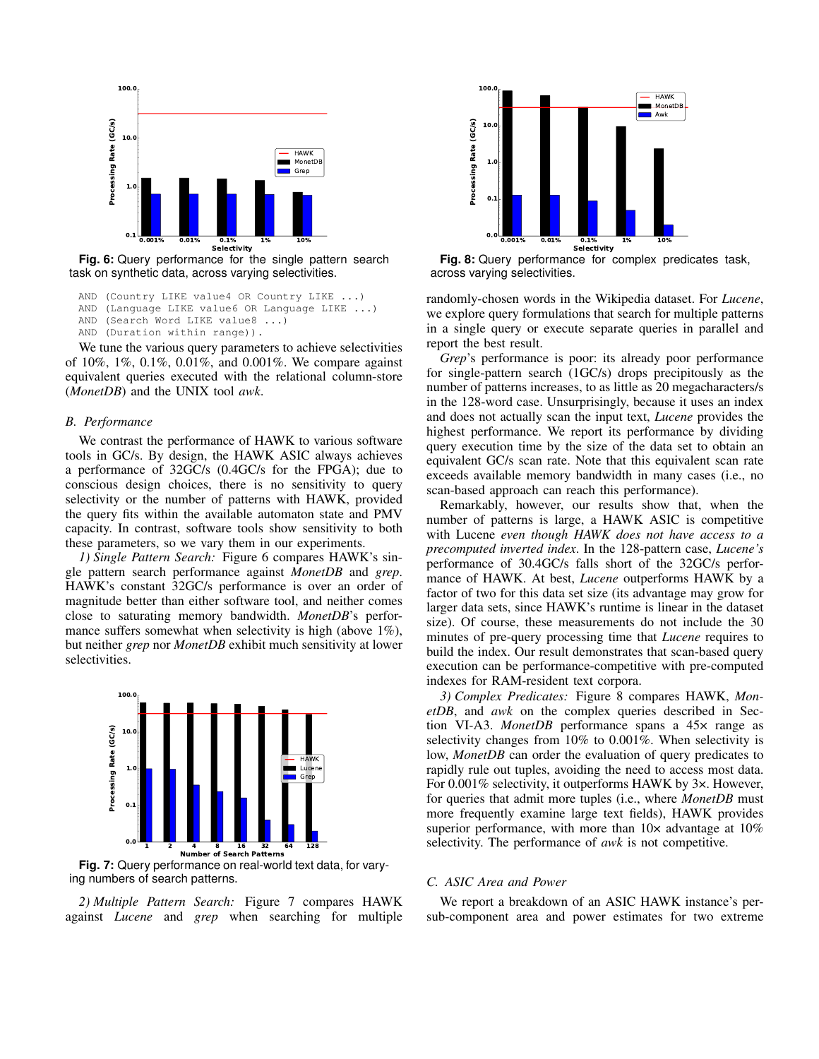

**Fig. 6:** Query performance for the single pattern search task on synthetic data, across varying selectivities.

AND (Country LIKE value4 OR Country LIKE ...) AND (Language LIKE value6 OR Language LIKE ...)

AND (Search Word LIKE value8 ...)

AND (Duration within range)).

We tune the various query parameters to achieve selectivities of 10%, 1%, 0.1%, 0.01%, and 0.001%. We compare against equivalent queries executed with the relational column-store (*MonetDB*) and the UNIX tool *awk*.

#### *B. Performance*

We contrast the performance of HAWK to various software tools in GC/s. By design, the HAWK ASIC always achieves a performance of 32GC/s (0.4GC/s for the FPGA); due to conscious design choices, there is no sensitivity to query selectivity or the number of patterns with HAWK, provided the query fits within the available automaton state and PMV capacity. In contrast, software tools show sensitivity to both these parameters, so we vary them in our experiments.

*1) Single Pattern Search:* Figure 6 compares HAWK's single pattern search performance against *MonetDB* and *grep*. HAWK's constant 32GC/s performance is over an order of magnitude better than either software tool, and neither comes close to saturating memory bandwidth. *MonetDB*'s performance suffers somewhat when selectivity is high (above 1%), but neither *grep* nor *MonetDB* exhibit much sensitivity at lower selectivities.



**Fig. 7:** Query performance on real-world text data, for varying numbers of search patterns.

*2) Multiple Pattern Search:* Figure 7 compares HAWK against *Lucene* and *grep* when searching for multiple



**Fig. 8:** Query performance for complex predicates task, across varying selectivities.

randomly-chosen words in the Wikipedia dataset. For *Lucene*, we explore query formulations that search for multiple patterns in a single query or execute separate queries in parallel and report the best result.

*Grep*'s performance is poor: its already poor performance for single-pattern search (1GC/s) drops precipitously as the number of patterns increases, to as little as 20 megacharacters/s in the 128-word case. Unsurprisingly, because it uses an index and does not actually scan the input text, *Lucene* provides the highest performance. We report its performance by dividing query execution time by the size of the data set to obtain an equivalent GC/s scan rate. Note that this equivalent scan rate exceeds available memory bandwidth in many cases (i.e., no scan-based approach can reach this performance).

Remarkably, however, our results show that, when the number of patterns is large, a HAWK ASIC is competitive with Lucene *even though HAWK does not have access to a precomputed inverted index*. In the 128-pattern case, *Lucene's* performance of 30.4GC/s falls short of the 32GC/s performance of HAWK. At best, *Lucene* outperforms HAWK by a factor of two for this data set size (its advantage may grow for larger data sets, since HAWK's runtime is linear in the dataset size). Of course, these measurements do not include the 30 minutes of pre-query processing time that *Lucene* requires to build the index. Our result demonstrates that scan-based query execution can be performance-competitive with pre-computed indexes for RAM-resident text corpora.

*3) Complex Predicates:* Figure 8 compares HAWK, *MonetDB*, and *awk* on the complex queries described in Section VI-A3. *MonetDB* performance spans a 45× range as selectivity changes from 10% to 0.001%. When selectivity is low, *MonetDB* can order the evaluation of query predicates to rapidly rule out tuples, avoiding the need to access most data. For 0.001% selectivity, it outperforms HAWK by 3×. However, for queries that admit more tuples (i.e., where *MonetDB* must more frequently examine large text fields), HAWK provides superior performance, with more than  $10\times$  advantage at  $10\%$ selectivity. The performance of *awk* is not competitive.

# *C. ASIC Area and Power*

We report a breakdown of an ASIC HAWK instance's persub-component area and power estimates for two extreme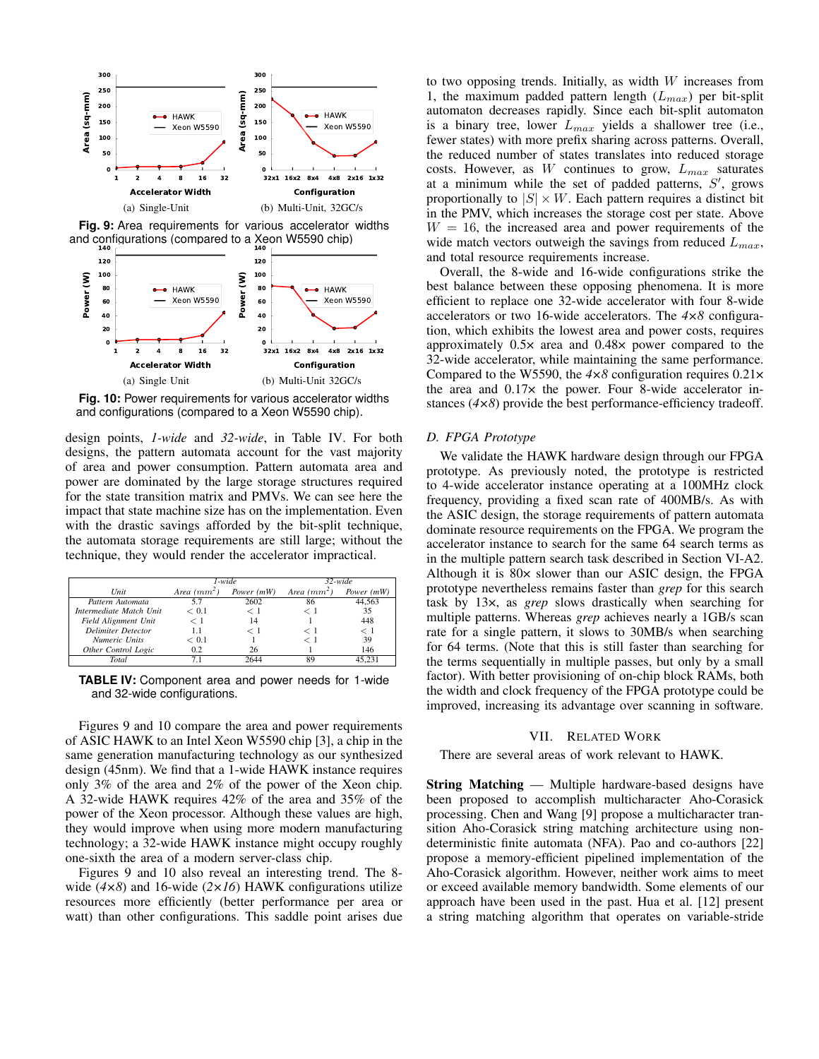





**Fig. 10:** Power requirements for various accelerator widths and configurations (compared to a Xeon W5590 chip).

design points, *1-wide* and *32-wide*, in Table IV. For both designs, the pattern automata account for the vast majority of area and power consumption. Pattern automata area and power are dominated by the large storage structures required for the state transition matrix and PMVs. We can see here the impact that state machine size has on the implementation. Even with the drastic savings afforded by the bit-split technique, the automata storage requirements are still large; without the technique, they would render the accelerator impractical.

|                           |               | $1$ -wide  | $32$ -wide    |              |  |
|---------------------------|---------------|------------|---------------|--------------|--|
| Unit                      | Area $(mm^2)$ | Power (mW) | Area $(mm^2)$ | Power $(mW)$ |  |
| Pattern Automata          | 5.7           | 2602       | 86            | 44.563       |  |
| Intermediate Match Unit   | < 0.1         | $<$ 1      | - 1           | 35           |  |
| Field Alignment Unit      | $<$ 1         | 14         |               | 448          |  |
| <b>Delimiter Detector</b> | 1.1           | $<$ 1      | ← 1           | $<$ 1        |  |
| Numeric Units             | < 0.1         |            | - 1           | 39           |  |
| Other Control Logic       | 0.2           | 26         |               | 146          |  |
| Total                     |               | 2644       | 89            |              |  |

**TABLE IV:** Component area and power needs for 1-wide and 32-wide configurations.

Figures 9 and 10 compare the area and power requirements of ASIC HAWK to an Intel Xeon W5590 chip [3], a chip in the same generation manufacturing technology as our synthesized design (45nm). We find that a 1-wide HAWK instance requires only 3% of the area and 2% of the power of the Xeon chip. A 32-wide HAWK requires 42% of the area and 35% of the power of the Xeon processor. Although these values are high, they would improve when using more modern manufacturing technology; a 32-wide HAWK instance might occupy roughly one-sixth the area of a modern server-class chip.

Figures 9 and 10 also reveal an interesting trend. The 8 wide (4×8) and 16-wide (2×16) HAWK configurations utilize resources more efficiently (better performance per area or watt) than other configurations. This saddle point arises due to two opposing trends. Initially, as width  $W$  increases from 1, the maximum padded pattern length  $(L_{max})$  per bit-split automaton decreases rapidly. Since each bit-split automaton is a binary tree, lower  $L_{max}$  yields a shallower tree (i.e., fewer states) with more prefix sharing across patterns. Overall, the reduced number of states translates into reduced storage costs. However, as W continues to grow,  $L_{max}$  saturates at a minimum while the set of padded patterns,  $S'$ , grows proportionally to  $|S| \times W$ . Each pattern requires a distinct bit in the PMV, which increases the storage cost per state. Above  $W = 16$ , the increased area and power requirements of the wide match vectors outweigh the savings from reduced  $L_{max}$ , and total resource requirements increase.

Overall, the 8-wide and 16-wide configurations strike the best balance between these opposing phenomena. It is more efficient to replace one 32-wide accelerator with four 8-wide accelerators or two 16-wide accelerators. The *4×8* configuration, which exhibits the lowest area and power costs, requires approximately 0.5× area and 0.48× power compared to the 32-wide accelerator, while maintaining the same performance. Compared to the W5590, the *4×8* configuration requires 0.21× the area and  $0.17\times$  the power. Four 8-wide accelerator instances (*4×8*) provide the best performance-efficiency tradeoff.

# *D. FPGA Prototype*

We validate the HAWK hardware design through our FPGA prototype. As previously noted, the prototype is restricted to 4-wide accelerator instance operating at a 100MHz clock frequency, providing a fixed scan rate of 400MB/s. As with the ASIC design, the storage requirements of pattern automata dominate resource requirements on the FPGA. We program the accelerator instance to search for the same 64 search terms as in the multiple pattern search task described in Section VI-A2. Although it is 80× slower than our ASIC design, the FPGA prototype nevertheless remains faster than *grep* for this search task by 13×, as *grep* slows drastically when searching for multiple patterns. Whereas *grep* achieves nearly a 1GB/s scan rate for a single pattern, it slows to 30MB/s when searching for 64 terms. (Note that this is still faster than searching for the terms sequentially in multiple passes, but only by a small factor). With better provisioning of on-chip block RAMs, both the width and clock frequency of the FPGA prototype could be improved, increasing its advantage over scanning in software.

#### VII. RELATED WORK

There are several areas of work relevant to HAWK.

String Matching — Multiple hardware-based designs have been proposed to accomplish multicharacter Aho-Corasick processing. Chen and Wang [9] propose a multicharacter transition Aho-Corasick string matching architecture using nondeterministic finite automata (NFA). Pao and co-authors [22] propose a memory-efficient pipelined implementation of the Aho-Corasick algorithm. However, neither work aims to meet or exceed available memory bandwidth. Some elements of our approach have been used in the past. Hua et al. [12] present a string matching algorithm that operates on variable-stride